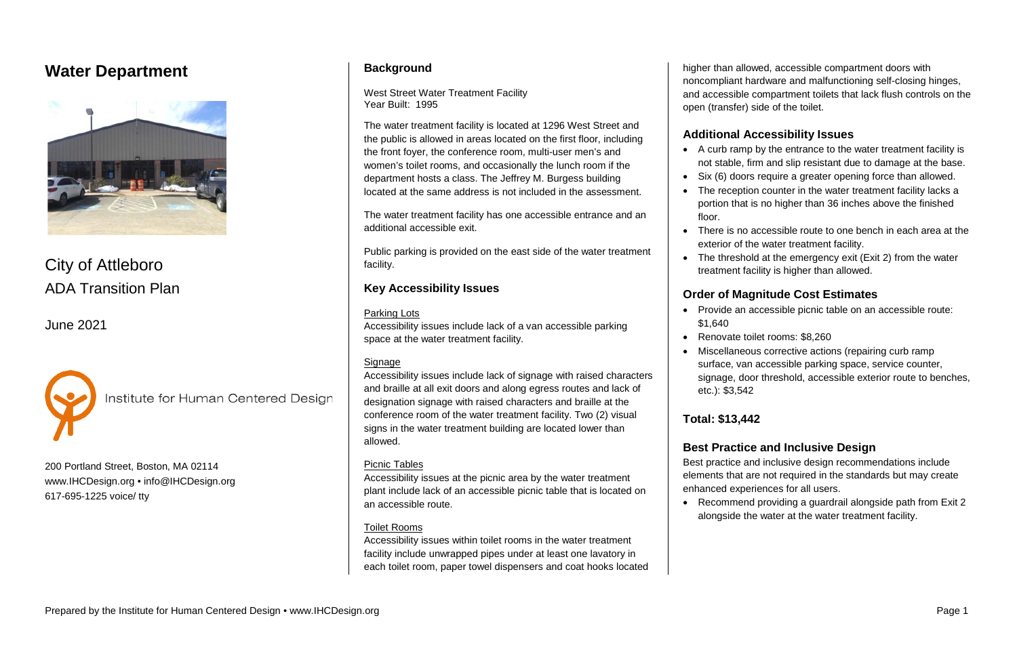# **Water Department**



City of Attleboro ADA Transition Plan

June 2021



Institute for Human Centered Design

200 Portland Street, Boston, MA 02114 [www.IHCDesign.org](http://www.ihcdesign.org/) • [info@IHCDesign.org](mailto:info@IHCDesign.org) 617-695-1225 voice/ tty

### **Background**

West Street Water Treatment Facility Year Built: 1995

The water treatment facility is located at 1296 West Street and the public is allowed in areas located on the first floor, including the front foyer, the conference room, multi-user men's and women's toilet rooms, and occasionally the lunch room if the department hosts a class. The Jeffrey M. Burgess building located at the same address is not included in the assessment.

The water treatment facility has one accessible entrance and an additional accessible exit.

Public parking is provided on the east side of the water treatment facility.

### **Key Accessibility Issues**

#### Parking Lots

Accessibility issues include lack of a van accessible parking space at the water treatment facility.

#### Signage

Accessibility issues include lack of signage with raised characters and braille at all exit doors and along egress routes and lack of designation signage with raised characters and braille at the conference room of the water treatment facility. Two (2) visual signs in the water treatment building are located lower than allowed.

• The threshold at the emergency exit (Exit 2) from the water treatment facility is higher than allowed.

### Picnic Tables

Accessibility issues at the picnic area by the water treatment plant include lack of an accessible picnic table that is located on an accessible route.

### Toilet Rooms

Accessibility issues within toilet rooms in the water treatment facility include unwrapped pipes under at least one lavatory in each toilet room, paper towel dispensers and coat hooks located higher than allowed, accessible compartment doors with noncompliant hardware and malfunctioning self-closing hinges, and accessible compartment toilets that lack flush controls on the open (transfer) side of the toilet.

# **Additional Accessibility Issues**

• A curb ramp by the entrance to the water treatment facility is not stable, firm and slip resistant due to damage at the base. Six (6) doors require a greater opening force than allowed. • The reception counter in the water treatment facility lacks a portion that is no higher than 36 inches above the finished

- 
- 
- floor.
- 
- 

• There is no accessible route to one bench in each area at the exterior of the water treatment facility.

### **Order of Magnitude Cost Estimates**

• Provide an accessible picnic table on an accessible route:

• Renovate toilet rooms: \$8,260

• Miscellaneous corrective actions (repairing curb ramp

- \$1,640
- 
- etc.): \$3,542

surface, van accessible parking space, service counter,

signage, door threshold, accessible exterior route to benches,

# **Total: \$13,442**

### **Best Practice and Inclusive Design**

Best practice and inclusive design recommendations include elements that are not required in the standards but may create enhanced experiences for all users.

• Recommend providing a guardrail alongside path from Exit 2 alongside the water at the water treatment facility.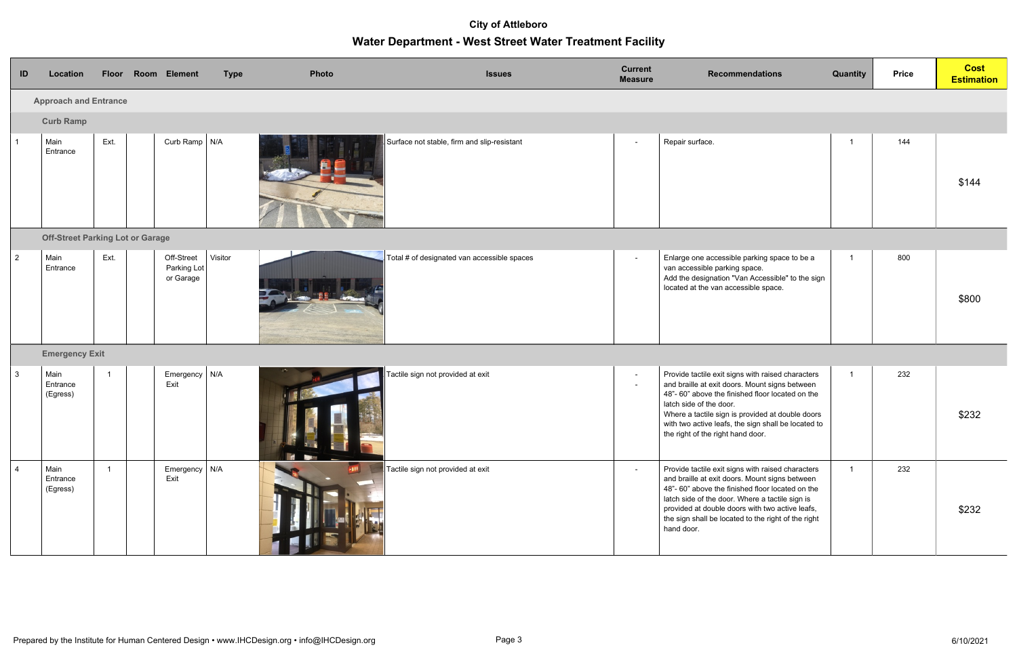| ID             | Location                                |                | Floor Room Element                     | <b>Type</b> | Photo | <b>Issues</b>                               | <b>Current</b><br><b>Measure</b> | <b>Recommendations</b>                                                                                                                                                                                                                                                                                                            | Quantity       | <b>Price</b> | <b>Cost</b><br><b>Estimation</b> |
|----------------|-----------------------------------------|----------------|----------------------------------------|-------------|-------|---------------------------------------------|----------------------------------|-----------------------------------------------------------------------------------------------------------------------------------------------------------------------------------------------------------------------------------------------------------------------------------------------------------------------------------|----------------|--------------|----------------------------------|
|                | <b>Approach and Entrance</b>            |                |                                        |             |       |                                             |                                  |                                                                                                                                                                                                                                                                                                                                   |                |              |                                  |
|                | <b>Curb Ramp</b>                        |                |                                        |             |       |                                             |                                  |                                                                                                                                                                                                                                                                                                                                   |                |              |                                  |
|                | Main<br>Entrance                        | Ext.           | Curb Ramp   N/A                        |             |       | Surface not stable, firm and slip-resistant | $\sim$                           | Repair surface.                                                                                                                                                                                                                                                                                                                   | - 1            | 144          | \$144                            |
|                | <b>Off-Street Parking Lot or Garage</b> |                |                                        |             |       |                                             |                                  |                                                                                                                                                                                                                                                                                                                                   |                |              |                                  |
| $\overline{2}$ | Main<br>Entrance                        | Ext.           | Off-Street<br>Parking Lot<br>or Garage | Visitor     |       | Total # of designated van accessible spaces | $\sim$                           | Enlarge one accessible parking space to be a<br>van accessible parking space.<br>Add the designation "Van Accessible" to the sign<br>located at the van accessible space.                                                                                                                                                         |                | 800          | \$800                            |
|                | <b>Emergency Exit</b>                   |                |                                        |             |       |                                             |                                  |                                                                                                                                                                                                                                                                                                                                   |                |              |                                  |
| $\mathbf{3}$   | Main<br>Entrance<br>(Egress)            | $\overline{1}$ | Emergency $\vert$ N/A<br>Exit          |             | H.    | Tactile sign not provided at exit           | $\sim$<br>$\sim$                 | Provide tactile exit signs with raised characters<br>and braille at exit doors. Mount signs between<br>48"-60" above the finished floor located on the<br>latch side of the door.<br>Where a tactile sign is provided at double doors<br>with two active leafs, the sign shall be located to<br>the right of the right hand door. | $\overline{1}$ | 232          | \$232                            |
| $\overline{4}$ | Main<br>Entrance<br>(Egress)            | $\mathbf{1}$   | Emergency   N/A<br>Exit                |             |       | Tactile sign not provided at exit           | $\sim$                           | Provide tactile exit signs with raised characters<br>and braille at exit doors. Mount signs between<br>48"-60" above the finished floor located on the<br>latch side of the door. Where a tactile sign is<br>provided at double doors with two active leafs,<br>the sign shall be located to the right of the right<br>hand door. | $\overline{1}$ | 232          | \$232                            |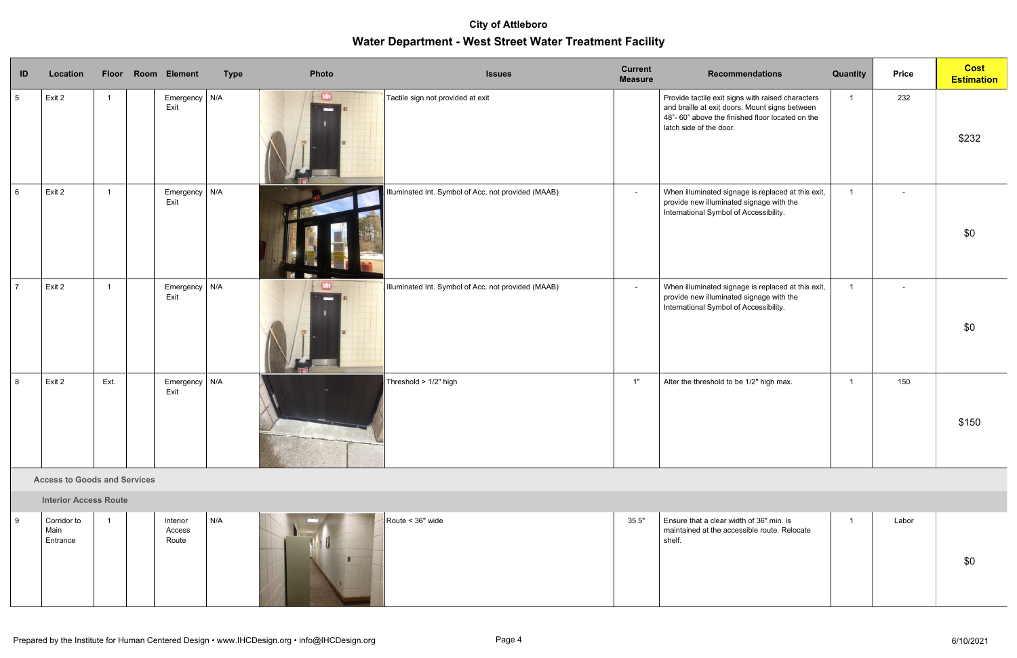| ID              | Location |                | Floor Room Element            | <b>Type</b> | Photo | <b>Issues</b>                                       | <b>Current</b><br><b>Measure</b> | <b>Recommendations</b>                                                                                                                                                            | Quantity       | <b>Price</b> | <b>Cost</b><br><b>Estimation</b> |
|-----------------|----------|----------------|-------------------------------|-------------|-------|-----------------------------------------------------|----------------------------------|-----------------------------------------------------------------------------------------------------------------------------------------------------------------------------------|----------------|--------------|----------------------------------|
| $5\overline{)}$ | Exit 2   | $\overline{1}$ | Emergency $N/A$<br>Exit       |             |       | Tactile sign not provided at exit                   |                                  | Provide tactile exit signs with raised characters<br>and braille at exit doors. Mount signs between<br>48"-60" above the finished floor located on the<br>latch side of the door. | $\overline{1}$ | 232          | \$232                            |
| $6\phantom{.}6$ | Exit 2   | $\overline{1}$ | Emergency $\vert$ N/A<br>Exit |             |       | Illuminated Int. Symbol of Acc. not provided (MAAB) | $\sim$                           | When illuminated signage is replaced at this exit,<br>provide new illuminated signage with the<br>International Symbol of Accessibility.                                          | $\overline{1}$ |              | \$0                              |
| $\overline{7}$  | Exit 2   | $\overline{1}$ | Emergency   N/A<br>Exit       |             |       | Illuminated Int. Symbol of Acc. not provided (MAAB) | $\sim$                           | When illuminated signage is replaced at this exit,<br>provide new illuminated signage with the<br>International Symbol of Accessibility.                                          | $\overline{1}$ |              | \$0                              |
| 8               | Exit 2   | Ext.           | Emergency $N/A$<br>Exit       |             |       | Threshold > 1/2" high                               | 1"                               | Alter the threshold to be 1/2" high max.                                                                                                                                          | $\mathbf{1}$   | 150          | \$150                            |

#### **B. Access to Goods and Services**

**Interior Access Route** 

| Corridor to<br>Main<br>Entrance | Interior<br>Access<br>Route | N/A | Route < $36"$ wide | 35.5" | Ensure that a clear width of 36" min. is<br>maintained at the accessible route. Relocate<br>shelf. | Labor | \$0 |
|---------------------------------|-----------------------------|-----|--------------------|-------|----------------------------------------------------------------------------------------------------|-------|-----|
|                                 |                             |     |                    |       |                                                                                                    |       |     |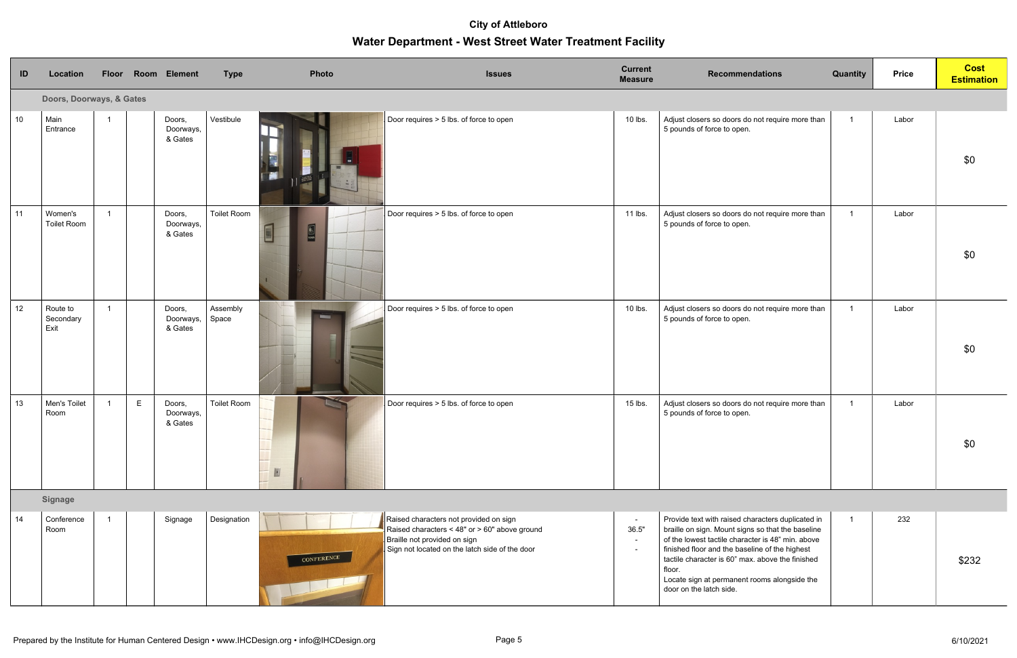| ID         | Location                      |   | Floor Room Element             | <b>Type</b>       | Photo      | <b>Issues</b>                                                                                                                                                             | <b>Current</b><br><b>Measure</b> | <b>Recommendations</b>                                                                                                                                                                                                                                                                                                                                 | <b>Quantity</b> | <b>Price</b> | <b>Cost</b><br><b>Estimation</b> |
|------------|-------------------------------|---|--------------------------------|-------------------|------------|---------------------------------------------------------------------------------------------------------------------------------------------------------------------------|----------------------------------|--------------------------------------------------------------------------------------------------------------------------------------------------------------------------------------------------------------------------------------------------------------------------------------------------------------------------------------------------------|-----------------|--------------|----------------------------------|
|            | Doors, Doorways, & Gates      |   |                                |                   |            |                                                                                                                                                                           |                                  |                                                                                                                                                                                                                                                                                                                                                        |                 |              |                                  |
| $\vert$ 10 | Main<br>Entrance              |   | Doors,<br>Doorways,<br>& Gates | Vestibule         |            | Door requires > 5 lbs. of force to open                                                                                                                                   | 10 lbs.                          | Adjust closers so doors do not require more than<br>5 pounds of force to open.                                                                                                                                                                                                                                                                         | $\overline{1}$  | Labor        | \$0                              |
| $\vert$ 11 | Women's<br><b>Toilet Room</b> |   | Doors,<br>Doorways,<br>& Gates | Toilet Room       | E          | Door requires > 5 lbs. of force to open                                                                                                                                   | 11 lbs.                          | Adjust closers so doors do not require more than<br>5 pounds of force to open.                                                                                                                                                                                                                                                                         |                 | Labor        | \$0                              |
| 12         | Route to<br>Secondary<br>Exit |   | Doors,<br>Doorways,<br>& Gates | Assembly<br>Space |            | Door requires > 5 lbs. of force to open                                                                                                                                   | 10 lbs.                          | Adjust closers so doors do not require more than<br>5 pounds of force to open.                                                                                                                                                                                                                                                                         |                 | Labor        | \$0                              |
| 13         | Men's Toilet<br>Room          | E | Doors,<br>Doorways,<br>& Gates | Toilet Room       | IJ         | Door requires > 5 lbs. of force to open                                                                                                                                   | 15 lbs.                          | Adjust closers so doors do not require more than<br>5 pounds of force to open.                                                                                                                                                                                                                                                                         | -1              | Labor        | \$0                              |
|            | <b>Signage</b>                |   |                                |                   |            |                                                                                                                                                                           |                                  |                                                                                                                                                                                                                                                                                                                                                        |                 |              |                                  |
| 14         | Conference<br>Room            |   | Signage                        | Designation       | CONFERENCE | Raised characters not provided on sign<br>Raised characters < 48" or > 60" above ground<br>Braille not provided on sign<br>Sign not located on the latch side of the door | $\sim$<br>36.5"                  | Provide text with raised characters duplicated in<br>braille on sign. Mount signs so that the baseline<br>of the lowest tactile character is 48" min. above<br>finished floor and the baseline of the highest<br>tactile character is 60" max. above the finished<br>floor.<br>Locate sign at permanent rooms alongside the<br>door on the latch side. |                 | 232          | \$232                            |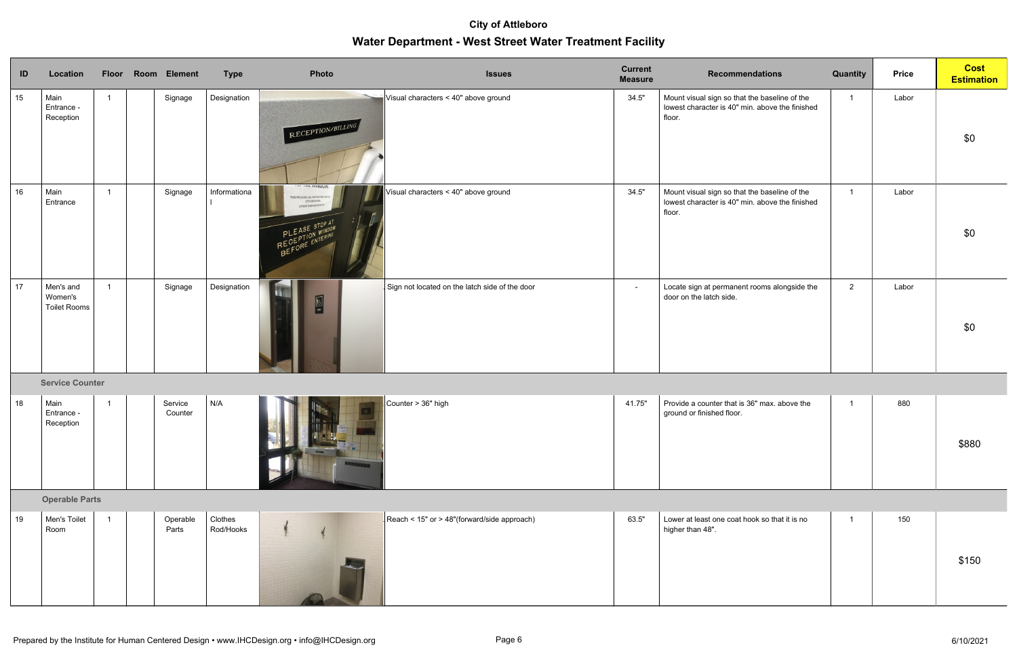| ID          | Location                                    |                          | Floor Room Element | <b>Type</b>          | Photo                                                                                                           | <b>Issues</b>                                  | <b>Current</b><br><b>Measure</b> | <b>Recommendations</b>                                                                                     | Quantity       | <b>Price</b> | <b>Cost</b><br><b>Estimation</b> |
|-------------|---------------------------------------------|--------------------------|--------------------|----------------------|-----------------------------------------------------------------------------------------------------------------|------------------------------------------------|----------------------------------|------------------------------------------------------------------------------------------------------------|----------------|--------------|----------------------------------|
| 15          | Main<br>Entrance -<br>Reception             |                          | Signage            | Designation          | RECEPTION/BILLING                                                                                               | Visual characters < 40" above ground           | 34.5"                            | Mount visual sign so that the baseline of the<br>lowest character is 40" min. above the finished<br>floor. | $\mathbf{1}$   | Labor        | \$0                              |
| 16          | Main<br>Entrance                            | $\overline{\phantom{0}}$ | Signage            | Informationa         | .  PARADOM<br>HIS INCLUDES ALL CONTRACTORS AND A<br>CITY EMPLOYEES<br>(OTHER THAN WATER DEPT.<br>PLEASE STOP AT | Visual characters < 40" above ground           | 34.5"                            | Mount visual sign so that the baseline of the<br>lowest character is 40" min. above the finished<br>floor. | $\mathbf{1}$   | Labor        | \$0                              |
| $\sqrt{17}$ | Men's and<br>Women's<br><b>Toilet Rooms</b> |                          | Signage            | Designation          | E                                                                                                               | Sign not located on the latch side of the door | $\sim$                           | Locate sign at permanent rooms alongside the<br>door on the latch side.                                    | $2^{\circ}$    | Labor        | \$0                              |
|             | <b>Service Counter</b>                      |                          |                    |                      |                                                                                                                 |                                                |                                  |                                                                                                            |                |              |                                  |
| 18          | Main<br>Entrance -<br>Reception             |                          | Service<br>Counter | N/A                  |                                                                                                                 | Counter > 36" high                             | 41.75"                           | Provide a counter that is 36" max. above the<br>ground or finished floor.                                  | $\overline{1}$ | 880          | \$880                            |
|             | <b>Operable Parts</b>                       |                          |                    |                      |                                                                                                                 |                                                |                                  |                                                                                                            |                |              |                                  |
| 19          | Men's Toilet<br>Room                        |                          | Operable<br>Parts  | Clothes<br>Rod/Hooks |                                                                                                                 | Reach < 15" or > 48"(forward/side approach)    | 63.5"                            | Lower at least one coat hook so that it is no<br>higher than 48".                                          | $\overline{1}$ | 150          | \$150                            |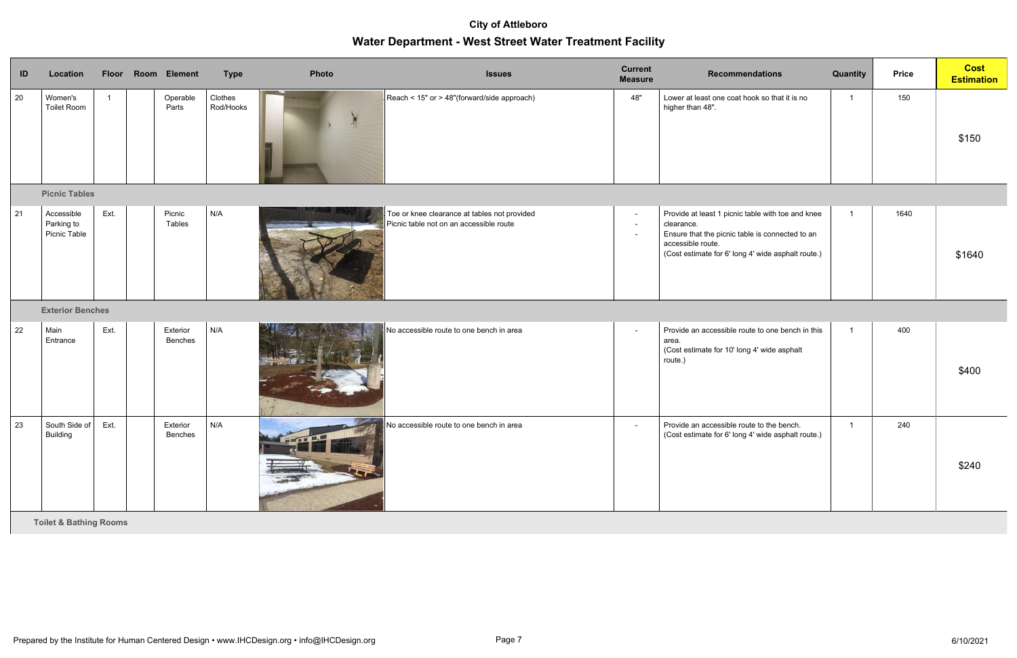| ID          | Location                                 |      | Floor Room Element  | <b>Type</b>          | Photo | <b>Issues</b>                                                                           | <b>Current</b><br><b>Measure</b> | <b>Recommendations</b>                                                                                                                                                                        | Quantity                | <b>Price</b> | <b>Cost</b><br><b>Estimation</b> |
|-------------|------------------------------------------|------|---------------------|----------------------|-------|-----------------------------------------------------------------------------------------|----------------------------------|-----------------------------------------------------------------------------------------------------------------------------------------------------------------------------------------------|-------------------------|--------------|----------------------------------|
| 20          | Women's<br>Toilet Room                   |      | Operable<br>Parts   | Clothes<br>Rod/Hooks |       | Reach < 15" or > 48"(forward/side approach)                                             | 48"                              | Lower at least one coat hook so that it is no<br>higher than 48".                                                                                                                             | $\overline{\mathbf{1}}$ | 150          | \$150                            |
|             | <b>Picnic Tables</b>                     |      |                     |                      |       |                                                                                         |                                  |                                                                                                                                                                                               |                         |              |                                  |
| 21          | Accessible<br>Parking to<br>Picnic Table | Ext. | Picnic<br>Tables    | N/A                  |       | Toe or knee clearance at tables not provided<br>Picnic table not on an accessible route | $\blacksquare$                   | Provide at least 1 picnic table with toe and knee<br>clearance.<br>Ensure that the picnic table is connected to an<br>accessible route.<br>(Cost estimate for 6' long 4' wide asphalt route.) | $\overline{1}$          | 1640         | \$1640                           |
|             | <b>Exterior Benches</b>                  |      |                     |                      |       |                                                                                         |                                  |                                                                                                                                                                                               |                         |              |                                  |
| 22          | Main<br>Entrance                         | Ext. | Exterior<br>Benches | N/A                  |       | No accessible route to one bench in area                                                | $\sim$                           | Provide an accessible route to one bench in this<br>area.<br>(Cost estimate for 10' long 4' wide asphalt<br>route.)                                                                           |                         | 400          | \$400                            |
| $\sqrt{23}$ | South Side of<br>Building                | Ext. | Exterior<br>Benches | N/A                  |       | No accessible route to one bench in area                                                | $\sim$                           | Provide an accessible route to the bench.<br>(Cost estimate for 6' long 4' wide asphalt route.)                                                                                               |                         | 240          | \$240                            |

**C. Toilet & Bathing Rooms**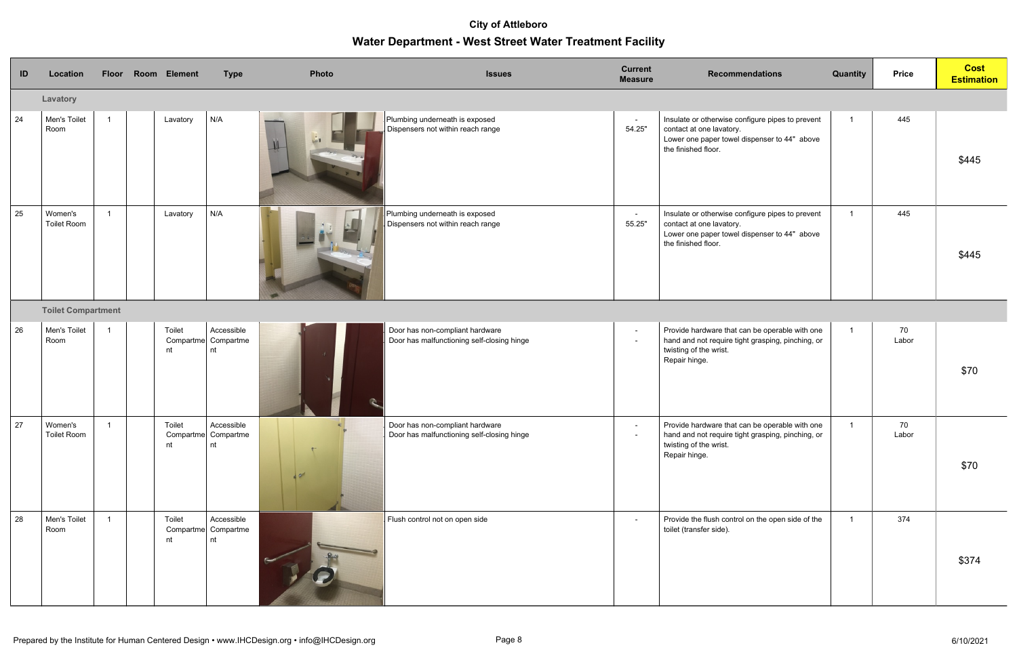| ID | Location                      |                | Floor Room Element | <b>Type</b>                             | Photo  | <b>Issues</b>                                                                 | <b>Current</b><br><b>Measure</b> | <b>Recommendations</b>                                                                                                                              | <b>Quantity</b> | <b>Price</b> | <b>Cost</b><br><b>Estimation</b> |
|----|-------------------------------|----------------|--------------------|-----------------------------------------|--------|-------------------------------------------------------------------------------|----------------------------------|-----------------------------------------------------------------------------------------------------------------------------------------------------|-----------------|--------------|----------------------------------|
|    | Lavatory                      |                |                    |                                         |        |                                                                               |                                  |                                                                                                                                                     |                 |              |                                  |
| 24 | Men's Toilet<br>Room          | $\overline{1}$ | Lavatory           | N/A                                     |        | Plumbing underneath is exposed<br>Dispensers not within reach range           | $\sim$<br>54.25"                 | Insulate or otherwise configure pipes to prevent<br>contact at one lavatory.<br>Lower one paper towel dispenser to 44" above<br>the finished floor. | $\overline{1}$  | 445          | \$445                            |
| 25 | Women's<br><b>Toilet Room</b> | $\overline{1}$ | Lavatory           | N/A                                     |        | Plumbing underneath is exposed<br>Dispensers not within reach range           | $\sim$<br>55.25"                 | Insulate or otherwise configure pipes to prevent<br>contact at one lavatory.<br>Lower one paper towel dispenser to 44" above<br>the finished floor. | $\mathbf{1}$    | 445          | \$445                            |
|    | <b>Toilet Compartment</b>     |                |                    |                                         |        |                                                                               |                                  |                                                                                                                                                     |                 |              |                                  |
| 26 | Men's Toilet<br>Room          | $\overline{1}$ | Toilet<br>nt       | Accessible<br>Compartme Compartme<br>nt |        | Door has non-compliant hardware<br>Door has malfunctioning self-closing hinge | $\sim$                           | Provide hardware that can be operable with one<br>hand and not require tight grasping, pinching, or<br>twisting of the wrist.<br>Repair hinge.      | $\mathbf{1}$    | 70<br>Labor  | \$70                             |
| 27 | Women's<br>Toilet Room        |                | Toilet<br>nt       | Accessible<br>Compartme Compartme<br>nt | $\sim$ | Door has non-compliant hardware<br>Door has malfunctioning self-closing hinge | $\sim$                           | Provide hardware that can be operable with one<br>hand and not require tight grasping, pinching, or<br>twisting of the wrist.<br>Repair hinge.      |                 | 70<br>Labor  | \$70                             |
| 28 | Men's Toilet<br>Room          | $\overline{1}$ | Toilet<br>nt       | Accessible<br>Compartme Compartme<br>nt |        | Flush control not on open side                                                | $\sim$                           | Provide the flush control on the open side of the<br>toilet (transfer side).                                                                        |                 | 374          | \$374                            |